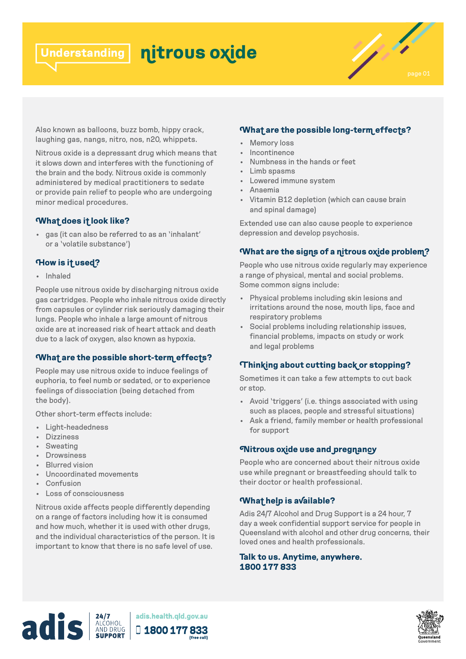#### **nitrous oxide Understanding**



Also known as balloons, buzz bomb, hippy crack, laughing gas, nangs, nitro, nos, n20, whippets.

Nitrous oxide is a depressant drug which means that it slows down and interferes with the functioning of the brain and the body. Nitrous oxide is commonly administered by medical practitioners to sedate or provide pain relief to people who are undergoing minor medical procedures.

### **What does it look like?**

• gas (it can also be referred to as an 'inhalant' or a 'volatile substance')

# **How is it used?**

• Inhaled

People use nitrous oxide by discharging nitrous oxide gas cartridges. People who inhale nitrous oxide directly from capsules or cylinder risk seriously damaging their lungs. People who inhale a large amount of nitrous oxide are at increased risk of heart attack and death due to a lack of oxygen, also known as hypoxia.

# **What are the possible short-term effects?**

People may use nitrous oxide to induce feelings of euphoria, to feel numb or sedated, or to experience feelings of dissociation (being detached from the body).

Other short-term effects include:

- Light-headedness
- Dizziness
- Sweating
- Drowsiness
- Blurred vision
- Uncoordinated movements
- Confusion
- Loss of consciousness

Nitrous oxide affects people differently depending on a range of factors including how it is consumed and how much, whether it is used with other drugs, and the individual characteristics of the person. It is important to know that there is no safe level of use.

### **What are the possible long-term effects?**

- Memory loss
- Incontinence
- Numbness in the hands or feet
- Limb spasms
- Lowered immune system
- Anaemia
- Vitamin B12 depletion (which can cause brain and spinal damage)

Extended use can also cause people to experience depression and develop psychosis.

# **What are the signs of a nitrous oxide problem?**

People who use nitrous oxide regularly may experience a range of physical, mental and social problems. Some common signs include:

- Physical problems including skin lesions and irritations around the nose, mouth lips, face and respiratory problems
- Social problems including relationship issues, financial problems, impacts on study or work and legal problems

# **Thinking about cutting back or stopping?**

Sometimes it can take a few attempts to cut back or stop.

- Avoid 'triggers' (i.e. things associated with using such as places, people and stressful situations)
- Ask a friend, family member or health professional for support

#### **Nitrous oxide use and pregnancy**

People who are concerned about their nitrous oxide use while pregnant or breastfeeding should talk to their doctor or health professional.

# **What help is available?**

Adis 24/7 Alcohol and Drug Support is a 24 hour, 7 day a week confidential support service for people in Queensland with alcohol and other drug concerns, their loved ones and health professionals.

#### **Talk to us. Anytime, anywhere. 1800 177 833**